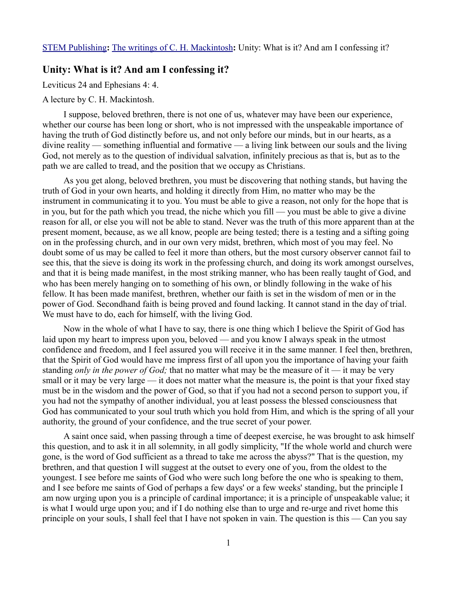## **Unity: What is it? And am I confessing it?**

Leviticus 24 and Ephesians 4: 4.

## A lecture by C. H. Mackintosh.

I suppose, beloved brethren, there is not one of us, whatever may have been our experience, whether our course has been long or short, who is not impressed with the unspeakable importance of having the truth of God distinctly before us, and not only before our minds, but in our hearts, as a divine reality — something influential and formative — a living link between our souls and the living God, not merely as to the question of individual salvation, infinitely precious as that is, but as to the path we are called to tread, and the position that we occupy as Christians.

As you get along, beloved brethren, you must be discovering that nothing stands, but having the truth of God in your own hearts, and holding it directly from Him, no matter who may be the instrument in communicating it to you. You must be able to give a reason, not only for the hope that is in you, but for the path which you tread, the niche which you fill — you must be able to give a divine reason for all, or else you will not be able to stand. Never was the truth of this more apparent than at the present moment, because, as we all know, people are being tested; there is a testing and a sifting going on in the professing church, and in our own very midst, brethren, which most of you may feel. No doubt some of us may be called to feel it more than others, but the most cursory observer cannot fail to see this, that the sieve is doing its work in the professing church, and doing its work amongst ourselves, and that it is being made manifest, in the most striking manner, who has been really taught of God, and who has been merely hanging on to something of his own, or blindly following in the wake of his fellow. It has been made manifest, brethren, whether our faith is set in the wisdom of men or in the power of God. Secondhand faith is being proved and found lacking. It cannot stand in the day of trial. We must have to do, each for himself, with the living God.

Now in the whole of what I have to say, there is one thing which I believe the Spirit of God has laid upon my heart to impress upon you, beloved — and you know I always speak in the utmost confidence and freedom, and I feel assured you will receive it in the same manner. I feel then, brethren, that the Spirit of God would have me impress first of all upon you the importance of having your faith standing *only in the power of God;* that no matter what may be the measure of it — it may be very small or it may be very large — it does not matter what the measure is, the point is that your fixed stay must be in the wisdom and the power of God, so that if you had not a second person to support you, if you had not the sympathy of another individual, you at least possess the blessed consciousness that God has communicated to your soul truth which you hold from Him, and which is the spring of all your authority, the ground of your confidence, and the true secret of your power.

A saint once said, when passing through a time of deepest exercise, he was brought to ask himself this question, and to ask it in all solemnity, in all godly simplicity, "If the whole world and church were gone, is the word of God sufficient as a thread to take me across the abyss?" That is the question, my brethren, and that question I will suggest at the outset to every one of you, from the oldest to the youngest. I see before me saints of God who were such long before the one who is speaking to them, and I see before me saints of God of perhaps a few days' or a few weeks' standing, but the principle I am now urging upon you is a principle of cardinal importance; it is a principle of unspeakable value; it is what I would urge upon you; and if I do nothing else than to urge and re-urge and rivet home this principle on your souls, I shall feel that I have not spoken in vain. The question is this — Can you say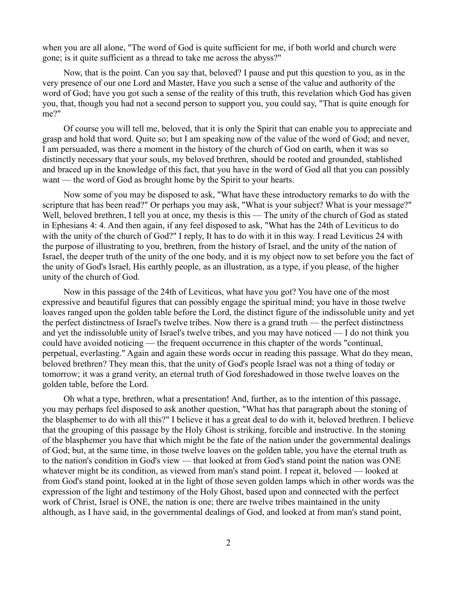when you are all alone, "The word of God is quite sufficient for me, if both world and church were gone; is it quite sufficient as a thread to take me across the abyss?"

Now, that is the point. Can you say that, beloved? I pause and put this question to you, as in the very presence of our one Lord and Master, Have you such a sense of the value and authority of the word of God; have you got such a sense of the reality of this truth, this revelation which God has given you, that, though you had not a second person to support you, you could say, "That is quite enough for me?"

Of course you will tell me, beloved, that it is only the Spirit that can enable you to appreciate and grasp and hold that word. Quite so; but I am speaking now of the value of the word of God; and never, I am persuaded, was there a moment in the history of the church of God on earth, when it was so distinctly necessary that your souls, my beloved brethren, should be rooted and grounded, stablished and braced up in the knowledge of this fact, that you have in the word of God all that you can possibly want — the word of God as brought home by the Spirit to your hearts.

Now some of you may be disposed to ask, "What have these introductory remarks to do with the scripture that has been read?" Or perhaps you may ask, "What is your subject? What is your message?" Well, beloved brethren, I tell you at once, my thesis is this — The unity of the church of God as stated in Ephesians 4: 4. And then again, if any feel disposed to ask, "What has the 24th of Leviticus to do with the unity of the church of God?" I reply, It has to do with it in this way. I read Leviticus 24 with the purpose of illustrating to you, brethren, from the history of Israel, and the unity of the nation of Israel, the deeper truth of the unity of the one body, and it is my object now to set before you the fact of the unity of God's Israel, His earthly people, as an illustration, as a type, if you please, of the higher unity of the church of God.

Now in this passage of the 24th of Leviticus, what have you got? You have one of the most expressive and beautiful figures that can possibly engage the spiritual mind; you have in those twelve loaves ranged upon the golden table before the Lord, the distinct figure of the indissoluble unity and yet the perfect distinctness of Israel's twelve tribes. Now there is a grand truth — the perfect distinctness and yet the indissoluble unity of Israel's twelve tribes, and you may have noticed — I do not think you could have avoided noticing — the frequent occurrence in this chapter of the words "continual, perpetual, everlasting." Again and again these words occur in reading this passage. What do they mean, beloved brethren? They mean this, that the unity of God's people Israel was not a thing of today or tomorrow; it was a grand verity, an eternal truth of God foreshadowed in those twelve loaves on the golden table, before the Lord.

Oh what a type, brethren, what a presentation! And, further, as to the intention of this passage, you may perhaps feel disposed to ask another question, "What has that paragraph about the stoning of the blasphemer to do with all this?" I believe it has a great deal to do with it, beloved brethren. I believe that the grouping of this passage by the Holy Ghost is striking, forcible and instructive. In the stoning of the blasphemer you have that which might be the fate of the nation under the governmental dealings of God; but, at the same time, in those twelve loaves on the golden table, you have the eternal truth as to the nation's condition in God's view — that looked at from God's stand point the nation was ONE whatever might be its condition, as viewed from man's stand point. I repeat it, beloved — looked at from God's stand point, looked at in the light of those seven golden lamps which in other words was the expression of the light and testimony of the Holy Ghost, based upon and connected with the perfect work of Christ, Israel is ONE, the nation is one; there are twelve tribes maintained in the unity although, as I have said, in the governmental dealings of God, and looked at from man's stand point,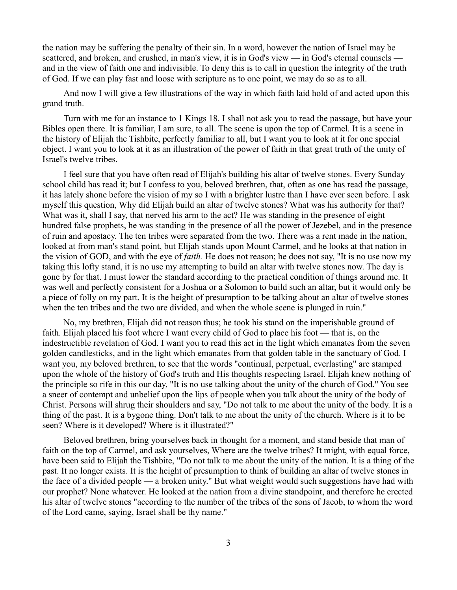the nation may be suffering the penalty of their sin. In a word, however the nation of Israel may be scattered, and broken, and crushed, in man's view, it is in God's view — in God's eternal counsels and in the view of faith one and indivisible. To deny this is to call in question the integrity of the truth of God. If we can play fast and loose with scripture as to one point, we may do so as to all.

And now I will give a few illustrations of the way in which faith laid hold of and acted upon this grand truth.

Turn with me for an instance to 1 Kings 18. I shall not ask you to read the passage, but have your Bibles open there. It is familiar, I am sure, to all. The scene is upon the top of Carmel. It is a scene in the history of Elijah the Tishbite, perfectly familiar to all, but I want you to look at it for one special object. I want you to look at it as an illustration of the power of faith in that great truth of the unity of Israel's twelve tribes.

I feel sure that you have often read of Elijah's building his altar of twelve stones. Every Sunday school child has read it; but I confess to you, beloved brethren, that, often as one has read the passage, it has lately shone before the vision of my so I with a brighter lustre than I have ever seen before. I ask myself this question, Why did Elijah build an altar of twelve stones? What was his authority for that? What was it, shall I say, that nerved his arm to the act? He was standing in the presence of eight hundred false prophets, he was standing in the presence of all the power of Jezebel, and in the presence of ruin and apostacy. The ten tribes were separated from the two. There was a rent made in the nation, looked at from man's stand point, but Elijah stands upon Mount Carmel, and he looks at that nation in the vision of GOD, and with the eye of *faith.* He does not reason; he does not say, "It is no use now my taking this lofty stand, it is no use my attempting to build an altar with twelve stones now. The day is gone by for that. I must lower the standard according to the practical condition of things around me. It was well and perfectly consistent for a Joshua or a Solomon to build such an altar, but it would only be a piece of folly on my part. It is the height of presumption to be talking about an altar of twelve stones when the ten tribes and the two are divided, and when the whole scene is plunged in ruin."

No, my brethren, Elijah did not reason thus; he took his stand on the imperishable ground of faith. Elijah placed his foot where I want every child of God to place his foot — that is, on the indestructible revelation of God. I want you to read this act in the light which emanates from the seven golden candlesticks, and in the light which emanates from that golden table in the sanctuary of God. I want you, my beloved brethren, to see that the words "continual, perpetual, everlasting" are stamped upon the whole of the history of God's truth and His thoughts respecting Israel. Elijah knew nothing of the principle so rife in this our day, "It is no use talking about the unity of the church of God." You see a sneer of contempt and unbelief upon the lips of people when you talk about the unity of the body of Christ. Persons will shrug their shoulders and say, "Do not talk to me about the unity of the body. It is a thing of the past. It is a bygone thing. Don't talk to me about the unity of the church. Where is it to be seen? Where is it developed? Where is it illustrated?"

Beloved brethren, bring yourselves back in thought for a moment, and stand beside that man of faith on the top of Carmel, and ask yourselves, Where are the twelve tribes? It might, with equal force, have been said to Elijah the Tishbite, "Do not talk to me about the unity of the nation. It is a thing of the past. It no longer exists. It is the height of presumption to think of building an altar of twelve stones in the face of a divided people — a broken unity." But what weight would such suggestions have had with our prophet? None whatever. He looked at the nation from a divine standpoint, and therefore he erected his altar of twelve stones "according to the number of the tribes of the sons of Jacob, to whom the word of the Lord came, saying, Israel shall be thy name."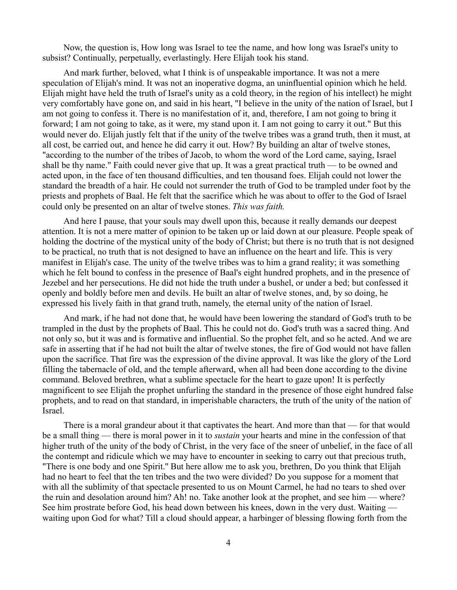Now, the question is, How long was Israel to tee the name, and how long was Israel's unity to subsist? Continually, perpetually, everlastingly. Here Elijah took his stand.

And mark further, beloved, what I think is of unspeakable importance. It was not a mere speculation of Elijah's mind. It was not an inoperative dogma, an uninfluential opinion which he held. Elijah might have held the truth of Israel's unity as a cold theory, in the region of his intellect) he might very comfortably have gone on, and said in his heart, "I believe in the unity of the nation of Israel, but I am not going to confess it. There is no manifestation of it, and, therefore, I am not going to bring it forward; I am not going to take, as it were, my stand upon it. I am not going to carry it out." But this would never do. Elijah justly felt that if the unity of the twelve tribes was a grand truth, then it must, at all cost, be carried out, and hence he did carry it out. How? By building an altar of twelve stones, "according to the number of the tribes of Jacob, to whom the word of the Lord came, saying, Israel shall be thy name." Faith could never give that up. It was a great practical truth — to be owned and acted upon, in the face of ten thousand difficulties, and ten thousand foes. Elijah could not lower the standard the breadth of a hair. He could not surrender the truth of God to be trampled under foot by the priests and prophets of Baal. He felt that the sacrifice which he was about to offer to the God of Israel could only be presented on an altar of twelve stones. *This was faith.* 

And here I pause, that your souls may dwell upon this, because it really demands our deepest attention. It is not a mere matter of opinion to be taken up or laid down at our pleasure. People speak of holding the doctrine of the mystical unity of the body of Christ; but there is no truth that is not designed to be practical, no truth that is not designed to have an influence on the heart and life. This is very manifest in Elijah's case. The unity of the twelve tribes was to him a grand reality; it was something which he felt bound to confess in the presence of Baal's eight hundred prophets, and in the presence of Jezebel and her persecutions. He did not hide the truth under a bushel, or under a bed; but confessed it openly and boldly before men and devils. He built an altar of twelve stones, and, by so doing, he expressed his lively faith in that grand truth, namely, the eternal unity of the nation of Israel.

And mark, if he had not done that, he would have been lowering the standard of God's truth to be trampled in the dust by the prophets of Baal. This he could not do. God's truth was a sacred thing. And not only so, but it was and is formative and influential. So the prophet felt, and so he acted. And we are safe in asserting that if he had not built the altar of twelve stones, the fire of God would not have fallen upon the sacrifice. That fire was the expression of the divine approval. It was like the glory of the Lord filling the tabernacle of old, and the temple afterward, when all had been done according to the divine command. Beloved brethren, what a sublime spectacle for the heart to gaze upon! It is perfectly magnificent to see Elijah the prophet unfurling the standard in the presence of those eight hundred false prophets, and to read on that standard, in imperishable characters, the truth of the unity of the nation of Israel.

There is a moral grandeur about it that captivates the heart. And more than that — for that would be a small thing — there is moral power in it to *sustain* your hearts and mine in the confession of that higher truth of the unity of the body of Christ, in the very face of the sneer of unbelief, in the face of all the contempt and ridicule which we may have to encounter in seeking to carry out that precious truth, "There is one body and one Spirit.'' But here allow me to ask you, brethren, Do you think that Elijah had no heart to feel that the ten tribes and the two were divided? Do you suppose for a moment that with all the sublimity of that spectacle presented to us on Mount Carmel, he had no tears to shed over the ruin and desolation around him? Ah! no. Take another look at the prophet, and see him — where? See him prostrate before God, his head down between his knees, down in the very dust. Waiting waiting upon God for what? Till a cloud should appear, a harbinger of blessing flowing forth from the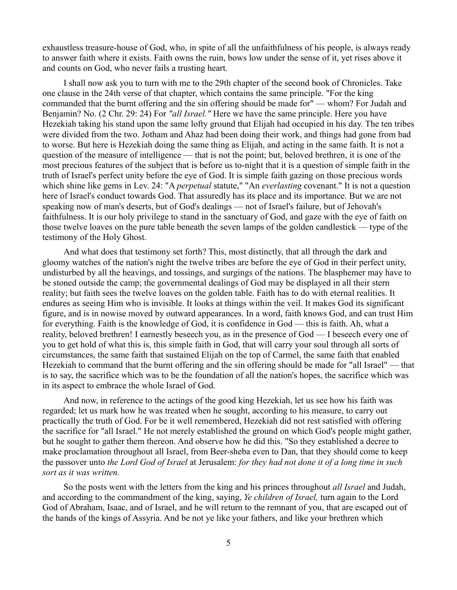exhaustless treasure-house of God, who, in spite of all the unfaithfulness of his people, is always ready to answer faith where it exists. Faith owns the ruin, bows low under the sense of it, yet rises above it and counts on God, who never fails a trusting heart.

I shall now ask you to turn with me to the 29th chapter of the second book of Chronicles. Take one clause in the 24th verse of that chapter, which contains the same principle. "For the king commanded that the burnt offering and the sin offering should be made for" — whom? For Judah and Benjamin? No. (2 Chr. 29: 24) For *"all Israel."* Here we have the same principle. Here you have Hezekiah taking his stand upon the same lofty ground that Elijah had occupied in his day. The ten tribes were divided from the two. Jotham and Ahaz had been doing their work, and things had gone from bad to worse. But here is Hezekiah doing the same thing as Elijah, and acting in the same faith. It is not a question of the measure of intelligence — that is not the point; but, beloved brethren, it is one of the most precious features of the subject that is before us to-night that it is a question of simple faith in the truth of Israel's perfect unity before the eye of God. It is simple faith gazing on those precious words which shine like gems in Lev. 24: "A *perpetual* statute," "An *everlasting* covenant." It is not a question here of Israel's conduct towards God. That assuredly has its place and its importance. But we are not speaking now of man's deserts, but of God's dealings — not of Israel's failure, but of Jehovah's faithfulness. It is our holy privilege to stand in the sanctuary of God, and gaze with the eye of faith on those twelve loaves on the pure table beneath the seven lamps of the golden candlestick — type of the testimony of the Holy Ghost.

And what does that testimony set forth? This, most distinctly, that all through the dark and gloomy watches of the nation's night the twelve tribes are before the eye of God in their perfect unity, undisturbed by all the heavings, and tossings, and surgings of the nations. The blasphemer may have to be stoned outside the camp; the governmental dealings of God may be displayed in all their stern reality; but faith sees the twelve loaves on the golden table. Faith has to do with eternal realities. It endures as seeing Him who is invisible. It looks at things within the veil. It makes God its significant figure, and is in nowise moved by outward appearances. In a word, faith knows God, and can trust Him for everything. Faith is the knowledge of God, it is confidence in God — this is faith. Ah, what a reality, beloved brethren! I earnestly beseech you, as in the presence of God — I beseech every one of you to get hold of what this is, this simple faith in God, that will carry your soul through all sorts of circumstances, the same faith that sustained Elijah on the top of Carmel, the same faith that enabled Hezekiah to command that the burnt offering and the sin offering should be made for "all Israel" — that is to say, the sacrifice which was to be the foundation of all the nation's hopes, the sacrifice which was in its aspect to embrace the whole Israel of God.

And now, in reference to the actings of the good king Hezekiah, let us see how his faith was regarded; let us mark how he was treated when he sought, according to his measure, to carry out practically the truth of God. For be it well remembered, Hezekiah did not rest satisfied with offering the sacrifice for "all Israel." He not merely established the ground on which God's people might gather, but he sought to gather them thereon. And observe how he did this. "So they established a decree to make proclamation throughout all Israel, from Beer-sheba even to Dan, that they should come to keep the passover unto *the Lord God of Israel* at Jerusalem: *for they had not done it of a long time in such sort as it was written.* 

So the posts went with the letters from the king and his princes throughout *all Israel* and Judah, and according to the commandment of the king, saying, *Ye children of Israel,* turn again to the Lord God of Abraham, Isaac, and of Israel, and he will return to the remnant of you, that are escaped out of the hands of the kings of Assyria. And be not ye like your fathers, and like your brethren which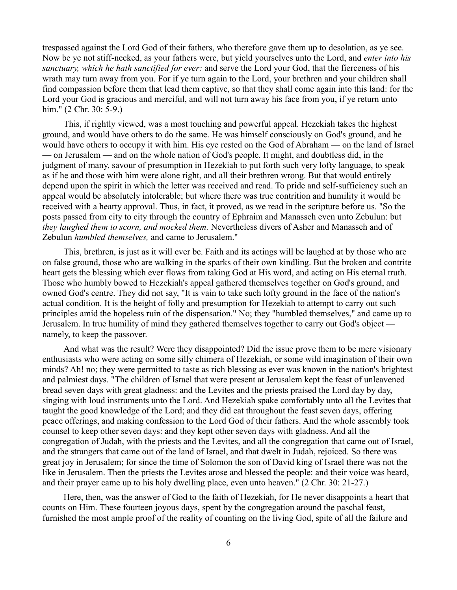trespassed against the Lord God of their fathers, who therefore gave them up to desolation, as ye see. Now be ye not stiff-necked, as your fathers were, but yield yourselves unto the Lord, and *enter into his sanctuary, which he hath sanctified for ever:* and serve the Lord your God, that the fierceness of his wrath may turn away from you. For if ye turn again to the Lord, your brethren and your children shall find compassion before them that lead them captive, so that they shall come again into this land: for the Lord your God is gracious and merciful, and will not turn away his face from you, if ye return unto him." (2 Chr. 30: 5-9.)

This, if rightly viewed, was a most touching and powerful appeal. Hezekiah takes the highest ground, and would have others to do the same. He was himself consciously on God's ground, and he would have others to occupy it with him. His eye rested on the God of Abraham — on the land of Israel — on Jerusalem — and on the whole nation of God's people. It might, and doubtless did, in the judgment of many, savour of presumption in Hezekiah to put forth such very lofty language, to speak as if he and those with him were alone right, and all their brethren wrong. But that would entirely depend upon the spirit in which the letter was received and read. To pride and self-sufficiency such an appeal would be absolutely intolerable; but where there was true contrition and humility it would be received with a hearty approval. Thus, in fact, it proved, as we read in the scripture before us. "So the posts passed from city to city through the country of Ephraim and Manasseh even unto Zebulun: but *they laughed them to scorn, and mocked them.* Nevertheless divers of Asher and Manasseh and of Zebulun *humbled themselves,* and came to Jerusalem."

This, brethren, is just as it will ever be. Faith and its actings will be laughed at by those who are on false ground, those who are walking in the sparks of their own kindling. But the broken and contrite heart gets the blessing which ever flows from taking God at His word, and acting on His eternal truth. Those who humbly bowed to Hezekiah's appeal gathered themselves together on God's ground, and owned God's centre. They did not say, "It is vain to take such lofty ground in the face of the nation's actual condition. It is the height of folly and presumption for Hezekiah to attempt to carry out such principles amid the hopeless ruin of the dispensation." No; they "humbled themselves," and came up to Jerusalem. In true humility of mind they gathered themselves together to carry out God's object namely, to keep the passover.

And what was the result? Were they disappointed? Did the issue prove them to be mere visionary enthusiasts who were acting on some silly chimera of Hezekiah, or some wild imagination of their own minds? Ah! no; they were permitted to taste as rich blessing as ever was known in the nation's brightest and palmiest days. "The children of Israel that were present at Jerusalem kept the feast of unleavened bread seven days with great gladness: and the Levites and the priests praised the Lord day by day, singing with loud instruments unto the Lord. And Hezekiah spake comfortably unto all the Levites that taught the good knowledge of the Lord; and they did eat throughout the feast seven days, offering peace offerings, and making confession to the Lord God of their fathers. And the whole assembly took counsel to keep other seven days: and they kept other seven days with gladness. And all the congregation of Judah, with the priests and the Levites, and all the congregation that came out of Israel, and the strangers that came out of the land of Israel, and that dwelt in Judah, rejoiced. So there was great joy in Jerusalem; for since the time of Solomon the son of David king of Israel there was not the like in Jerusalem. Then the priests the Levites arose and blessed the people: and their voice was heard, and their prayer came up to his holy dwelling place, even unto heaven." (2 Chr. 30: 21-27.)

Here, then, was the answer of God to the faith of Hezekiah, for He never disappoints a heart that counts on Him. These fourteen joyous days, spent by the congregation around the paschal feast, furnished the most ample proof of the reality of counting on the living God, spite of all the failure and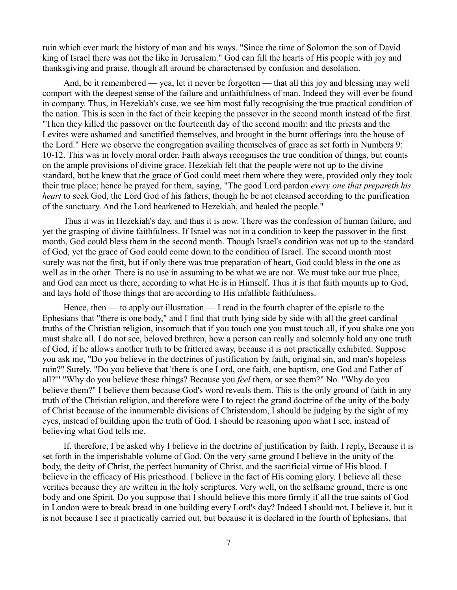ruin which ever mark the history of man and his ways. "Since the time of Solomon the son of David king of Israel there was not the like in Jerusalem." God can fill the hearts of His people with joy and thanksgiving and praise, though all around be characterised by confusion and desolation.

And, be it remembered — yea, let it never be forgotten — that all this joy and blessing may well comport with the deepest sense of the failure and unfaithfulness of man. Indeed they will ever be found in company. Thus, in Hezekiah's case, we see him most fully recognising the true practical condition of the nation. This is seen in the fact of their keeping the passover in the second month instead of the first. "Then they killed the passover on the fourteenth day of the second month: and the priests and the Levites were ashamed and sanctified themselves, and brought in the burnt offerings into the house of the Lord." Here we observe the congregation availing themselves of grace as set forth in Numbers 9: 10-12. This was in lovely moral order. Faith always recognises the true condition of things, but counts on the ample provisions of divine grace. Hezekiah felt that the people were not up to the divine standard, but he knew that the grace of God could meet them where they were, provided only they took their true place; hence he prayed for them, saying, "The good Lord pardon *every one that prepareth his heart* to seek God, the Lord God of his fathers, though he be not cleansed according to the purification of the sanctuary. And the Lord hearkened to Hezekiah, and healed the people."

Thus it was in Hezekiah's day, and thus it is now. There was the confession of human failure, and yet the grasping of divine faithfulness. If Israel was not in a condition to keep the passover in the first month, God could bless them in the second month. Though Israel's condition was not up to the standard of God, yet the grace of God could come down to the condition of Israel. The second month most surely was not the first, but if only there was true preparation of heart, God could bless in the one as well as in the other. There is no use in assuming to be what we are not. We must take our true place, and God can meet us there, according to what He is in Himself. Thus it is that faith mounts up to God, and lays hold of those things that are according to His infallible faithfulness.

Hence, then — to apply our illustration — I read in the fourth chapter of the epistle to the Ephesians that "there is one body," and I find that truth lying side by side with all the greet cardinal truths of the Christian religion, insomuch that if you touch one you must touch all, if you shake one you must shake all. I do not see, beloved brethren, how a person can really and solemnly hold any one truth of God, if he allows another truth to be frittered away, because it is not practically exhibited. Suppose you ask me, "Do you believe in the doctrines of justification by faith, original sin, and man's hopeless ruin?" Surely. "Do you believe that 'there is one Lord, one faith, one baptism, one God and Father of all?'" "Why do you believe these things? Because you *feel* them, or see them?" No. "Why do you believe them?" I believe them because God's word reveals them. This is the only ground of faith in any truth of the Christian religion, and therefore were I to reject the grand doctrine of the unity of the body of Christ because of the innumerable divisions of Christendom, I should be judging by the sight of my eyes, instead of building upon the truth of God. I should be reasoning upon what I see, instead of believing what God tells me.

If, therefore, I be asked why I believe in the doctrine of justification by faith, I reply, Because it is set forth in the imperishable volume of God. On the very same ground I believe in the unity of the body, the deity of Christ, the perfect humanity of Christ, and the sacrificial virtue of His blood. I believe in the efficacy of His priesthood. I believe in the fact of His coming glory. I believe all these verities because they are written in the holy scriptures. Very well, on the selfsame ground, there is one body and one Spirit. Do you suppose that I should believe this more firmly if all the true saints of God in London were to break bread in one building every Lord's day? Indeed I should not. I believe it, but it is not because I see it practically carried out, but because it is declared in the fourth of Ephesians, that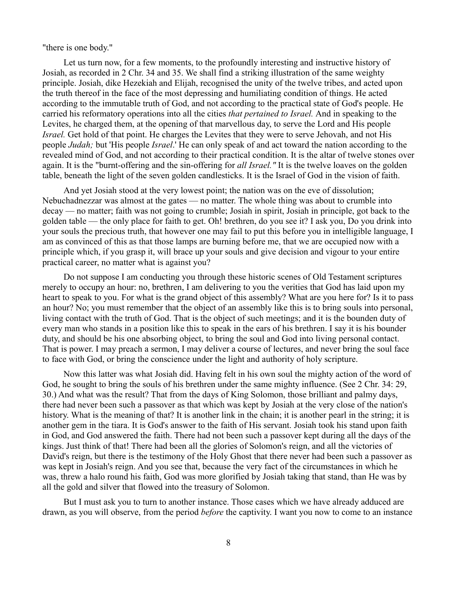"there is one body."

Let us turn now, for a few moments, to the profoundly interesting and instructive history of Josiah, as recorded in 2 Chr. 34 and 35. We shall find a striking illustration of the same weighty principle. Josiah, dike Hezekiah and Elijah, recognised the unity of the twelve tribes, and acted upon the truth thereof in the face of the most depressing and humiliating condition of things. He acted according to the immutable truth of God, and not according to the practical state of God's people. He carried his reformatory operations into all the cities *that pertained to Israel.* And in speaking to the Levites, he charged them, at the opening of that marvellous day, to serve the Lord and His people *Israel.* Get hold of that point. He charges the Levites that they were to serve Jehovah, and not His people *Judah;* but 'His people *Israel*.' He can only speak of and act toward the nation according to the revealed mind of God, and not according to their practical condition. It is the altar of twelve stones over again. It is the "burnt-offering and the sin-offering for *all Israel."* It is the twelve loaves on the golden table, beneath the light of the seven golden candlesticks. It is the Israel of God in the vision of faith.

And yet Josiah stood at the very lowest point; the nation was on the eve of dissolution; Nebuchadnezzar was almost at the gates — no matter. The whole thing was about to crumble into decay — no matter; faith was not going to crumble; Josiah in spirit, Josiah in principle, got back to the golden table — the only place for faith to get. Oh! brethren, do you see it? I ask you, Do you drink into your souls the precious truth, that however one may fail to put this before you in intelligible language, I am as convinced of this as that those lamps are burning before me, that we are occupied now with a principle which, if you grasp it, will brace up your souls and give decision and vigour to your entire practical career, no matter what is against you?

Do not suppose I am conducting you through these historic scenes of Old Testament scriptures merely to occupy an hour: no, brethren, I am delivering to you the verities that God has laid upon my heart to speak to you. For what is the grand object of this assembly? What are you here for? Is it to pass an hour? No; you must remember that the object of an assembly like this is to bring souls into personal, living contact with the truth of God. That is the object of such meetings; and it is the bounden duty of every man who stands in a position like this to speak in the ears of his brethren. I say it is his bounder duty, and should be his one absorbing object, to bring the soul and God into living personal contact. That is power. I may preach a sermon, I may deliver a course of lectures, and never bring the soul face to face with God, or bring the conscience under the light and authority of holy scripture.

Now this latter was what Josiah did. Having felt in his own soul the mighty action of the word of God, he sought to bring the souls of his brethren under the same mighty influence. (See 2 Chr. 34: 29, 30.) And what was the result? That from the days of King Solomon, those brilliant and palmy days, there had never been such a passover as that which was kept by Josiah at the very close of the nation's history. What is the meaning of that? It is another link in the chain; it is another pearl in the string; it is another gem in the tiara. It is God's answer to the faith of His servant. Josiah took his stand upon faith in God, and God answered the faith. There had not been such a passover kept during all the days of the kings. Just think of that! There had been all the glories of Solomon's reign, and all the victories of David's reign, but there is the testimony of the Holy Ghost that there never had been such a passover as was kept in Josiah's reign. And you see that, because the very fact of the circumstances in which he was, threw a halo round his faith, God was more glorified by Josiah taking that stand, than He was by all the gold and silver that flowed into the treasury of Solomon.

But I must ask you to turn to another instance. Those cases which we have already adduced are drawn, as you will observe, from the period *before* the captivity. I want you now to come to an instance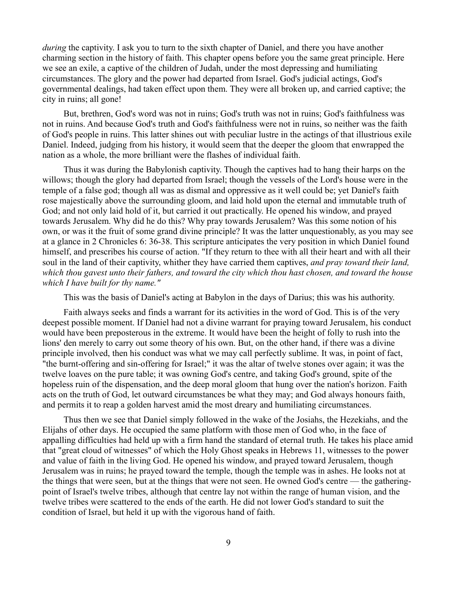*during* the captivity. I ask you to turn to the sixth chapter of Daniel, and there you have another charming section in the history of faith. This chapter opens before you the same great principle. Here we see an exile, a captive of the children of Judah, under the most depressing and humiliating circumstances. The glory and the power had departed from Israel. God's judicial actings, God's governmental dealings, had taken effect upon them. They were all broken up, and carried captive; the city in ruins; all gone!

But, brethren, God's word was not in ruins; God's truth was not in ruins; God's faithfulness was not in ruins. And because God's truth and God's faithfulness were not in ruins, so neither was the faith of God's people in ruins. This latter shines out with peculiar lustre in the actings of that illustrious exile Daniel. Indeed, judging from his history, it would seem that the deeper the gloom that enwrapped the nation as a whole, the more brilliant were the flashes of individual faith.

Thus it was during the Babylonish captivity. Though the captives had to hang their harps on the willows; though the glory had departed from Israel; though the vessels of the Lord's house were in the temple of a false god; though all was as dismal and oppressive as it well could be; yet Daniel's faith rose majestically above the surrounding gloom, and laid hold upon the eternal and immutable truth of God; and not only laid hold of it, but carried it out practically. He opened his window, and prayed towards Jerusalem. Why did he do this? Why pray towards Jerusalem? Was this some notion of his own, or was it the fruit of some grand divine principle? It was the latter unquestionably, as you may see at a glance in 2 Chronicles 6: 36-38. This scripture anticipates the very position in which Daniel found himself, and prescribes his course of action. "If they return to thee with all their heart and with all their soul in the land of their captivity, whither they have carried them captives, *and pray toward their land, which thou gavest unto their fathers, and toward the city which thou hast chosen, and toward the house which I have built for thy name."*

This was the basis of Daniel's acting at Babylon in the days of Darius; this was his authority.

Faith always seeks and finds a warrant for its activities in the word of God. This is of the very deepest possible moment. If Daniel had not a divine warrant for praying toward Jerusalem, his conduct would have been preposterous in the extreme. It would have been the height of folly to rush into the lions' den merely to carry out some theory of his own. But, on the other hand, if there was a divine principle involved, then his conduct was what we may call perfectly sublime. It was, in point of fact, "the burnt-offering and sin-offering for Israel;" it was the altar of twelve stones over again; it was the twelve loaves on the pure table; it was owning God's centre, and taking God's ground, spite of the hopeless ruin of the dispensation, and the deep moral gloom that hung over the nation's horizon. Faith acts on the truth of God, let outward circumstances be what they may; and God always honours faith, and permits it to reap a golden harvest amid the most dreary and humiliating circumstances.

Thus then we see that Daniel simply followed in the wake of the Josiahs, the Hezekiahs, and the Elijahs of other days. He occupied the same platform with those men of God who, in the face of appalling difficulties had held up with a firm hand the standard of eternal truth. He takes his place amid that "great cloud of witnesses" of which the Holy Ghost speaks in Hebrews 11, witnesses to the power and value of faith in the living God. He opened his window, and prayed toward Jerusalem, though Jerusalem was in ruins; he prayed toward the temple, though the temple was in ashes. He looks not at the things that were seen, but at the things that were not seen. He owned God's centre — the gatheringpoint of Israel's twelve tribes, although that centre lay not within the range of human vision, and the twelve tribes were scattered to the ends of the earth. He did not lower God's standard to suit the condition of Israel, but held it up with the vigorous hand of faith.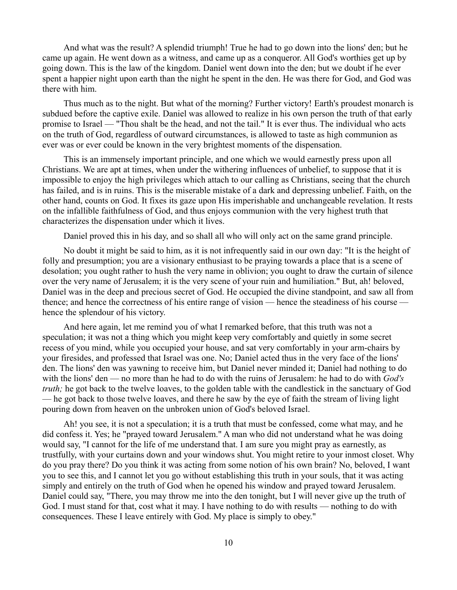And what was the result? A splendid triumph! True he had to go down into the lions' den; but he came up again. He went down as a witness, and came up as a conqueror. All God's worthies get up by going down. This is the law of the kingdom. Daniel went down into the den; but we doubt if he ever spent a happier night upon earth than the night he spent in the den. He was there for God, and God was there with him.

Thus much as to the night. But what of the morning? Further victory! Earth's proudest monarch is subdued before the captive exile. Daniel was allowed to realize in his own person the truth of that early promise to Israel — "Thou shalt be the head, and not the tail." It is ever thus. The individual who acts on the truth of God, regardless of outward circumstances, is allowed to taste as high communion as ever was or ever could be known in the very brightest moments of the dispensation.

This is an immensely important principle, and one which we would earnestly press upon all Christians. We are apt at times, when under the withering influences of unbelief, to suppose that it is impossible to enjoy the high privileges which attach to our calling as Christians, seeing that the church has failed, and is in ruins. This is the miserable mistake of a dark and depressing unbelief. Faith, on the other hand, counts on God. It fixes its gaze upon His imperishable and unchangeable revelation. It rests on the infallible faithfulness of God, and thus enjoys communion with the very highest truth that characterizes the dispensation under which it lives.

Daniel proved this in his day, and so shall all who will only act on the same grand principle.

No doubt it might be said to him, as it is not infrequently said in our own day: "It is the height of folly and presumption; you are a visionary enthusiast to be praying towards a place that is a scene of desolation; you ought rather to hush the very name in oblivion; you ought to draw the curtain of silence over the very name of Jerusalem; it is the very scene of your ruin and humiliation." But, ah! beloved, Daniel was in the deep and precious secret of God. He occupied the divine standpoint, and saw all from thence; and hence the correctness of his entire range of vision — hence the steadiness of his course hence the splendour of his victory.

And here again, let me remind you of what I remarked before, that this truth was not a speculation; it was not a thing which you might keep very comfortably and quietly in some secret recess of you mind, while you occupied your house, and sat very comfortably in your arm-chairs by your firesides, and professed that Israel was one. No; Daniel acted thus in the very face of the lions' den. The lions' den was yawning to receive him, but Daniel never minded it; Daniel had nothing to do with the lions' den — no more than he had to do with the ruins of Jerusalem: he had to do with *God's truth;* he got back to the twelve loaves, to the golden table with the candlestick in the sanctuary of God — he got back to those twelve loaves, and there he saw by the eye of faith the stream of living light pouring down from heaven on the unbroken union of God's beloved Israel.

Ah! you see, it is not a speculation; it is a truth that must be confessed, come what may, and he did confess it. Yes; he "prayed toward Jerusalem." A man who did not understand what he was doing would say, "I cannot for the life of me understand that. I am sure you might pray as earnestly, as trustfully, with your curtains down and your windows shut. You might retire to your inmost closet. Why do you pray there? Do you think it was acting from some notion of his own brain? No, beloved, I want you to see this, and I cannot let you go without establishing this truth in your souls, that it was acting simply and entirely on the truth of God when he opened his window and prayed toward Jerusalem. Daniel could say, "There, you may throw me into the den tonight, but I will never give up the truth of God. I must stand for that, cost what it may. I have nothing to do with results — nothing to do with consequences. These I leave entirely with God. My place is simply to obey."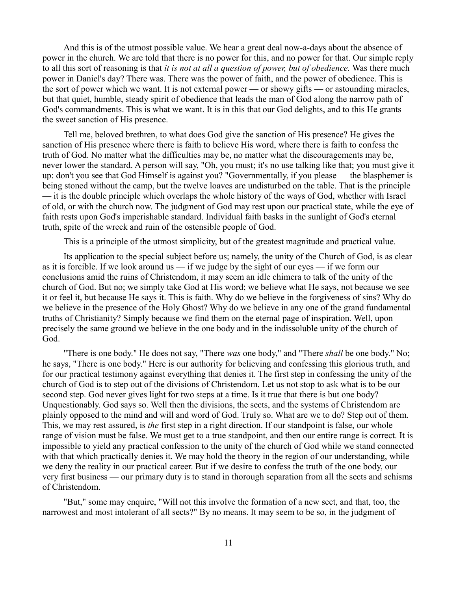And this is of the utmost possible value. We hear a great deal now-a-days about the absence of power in the church. We are told that there is no power for this, and no power for that. Our simple reply to all this sort of reasoning is that *it is not at all a question of power, but of obedience.* Was there much power in Daniel's day? There was. There was the power of faith, and the power of obedience. This is the sort of power which we want. It is not external power — or showy gifts — or astounding miracles, but that quiet, humble, steady spirit of obedience that leads the man of God along the narrow path of God's commandments. This is what we want. It is in this that our God delights, and to this He grants the sweet sanction of His presence.

Tell me, beloved brethren, to what does God give the sanction of His presence? He gives the sanction of His presence where there is faith to believe His word, where there is faith to confess the truth of God. No matter what the difficulties may be, no matter what the discouragements may be, never lower the standard. A person will say, "Oh, you must; it's no use talking like that; you must give it up: don't you see that God Himself is against you? "Governmentally, if you please — the blasphemer is being stoned without the camp, but the twelve loaves are undisturbed on the table. That is the principle — it is the double principle which overlaps the whole history of the ways of God, whether with Israel of old, or with the church now. The judgment of God may rest upon our practical state, while the eye of faith rests upon God's imperishable standard. Individual faith basks in the sunlight of God's eternal truth, spite of the wreck and ruin of the ostensible people of God.

This is a principle of the utmost simplicity, but of the greatest magnitude and practical value.

Its application to the special subject before us; namely, the unity of the Church of God, is as clear as it is forcible. If we look around us — if we judge by the sight of our eyes — if we form our conclusions amid the ruins of Christendom, it may seem an idle chimera to talk of the unity of the church of God. But no; we simply take God at His word; we believe what He says, not because we see it or feel it, but because He says it. This is faith. Why do we believe in the forgiveness of sins? Why do we believe in the presence of the Holy Ghost? Why do we believe in any one of the grand fundamental truths of Christianity? Simply because we find them on the eternal page of inspiration. Well, upon precisely the same ground we believe in the one body and in the indissoluble unity of the church of God.

"There is one body." He does not say, "There *was* one body," and "There *shall* be one body." No; he says, "There is one body." Here is our authority for believing and confessing this glorious truth, and for our practical testimony against everything that denies it. The first step in confessing the unity of the church of God is to step out of the divisions of Christendom. Let us not stop to ask what is to be our second step. God never gives light for two steps at a time. Is it true that there is but one body? Unquestionably. God says so. Well then the divisions, the sects, and the systems of Christendom are plainly opposed to the mind and will and word of God. Truly so. What are we to do? Step out of them. This, we may rest assured, is *the* first step in a right direction. If our standpoint is false, our whole range of vision must be false. We must get to a true standpoint, and then our entire range is correct. It is impossible to yield any practical confession to the unity of the church of God while we stand connected with that which practically denies it. We may hold the theory in the region of our understanding, while we deny the reality in our practical career. But if we desire to confess the truth of the one body, our very first business — our primary duty is to stand in thorough separation from all the sects and schisms of Christendom.

"But," some may enquire, "Will not this involve the formation of a new sect, and that, too, the narrowest and most intolerant of all sects?" By no means. It may seem to be so, in the judgment of